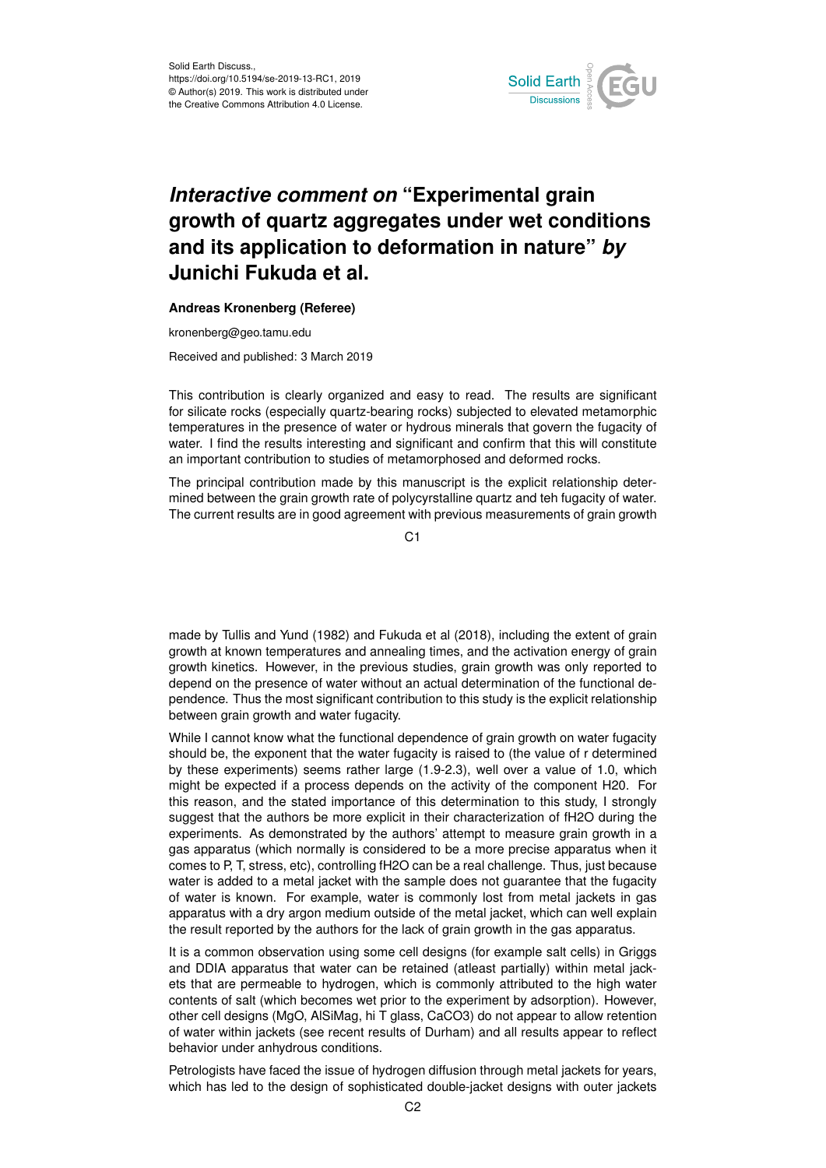

## *Interactive comment on* **"Experimental grain growth of quartz aggregates under wet conditions and its application to deformation in nature"** *by* **Junichi Fukuda et al.**

## **Andreas Kronenberg (Referee)**

kronenberg@geo.tamu.edu

Received and published: 3 March 2019

This contribution is clearly organized and easy to read. The results are significant for silicate rocks (especially quartz-bearing rocks) subjected to elevated metamorphic temperatures in the presence of water or hydrous minerals that govern the fugacity of water. I find the results interesting and significant and confirm that this will constitute an important contribution to studies of metamorphosed and deformed rocks.

The principal contribution made by this manuscript is the explicit relationship determined between the grain growth rate of polycyrstalline quartz and teh fugacity of water. The current results are in good agreement with previous measurements of grain growth

C<sub>1</sub>

made by Tullis and Yund (1982) and Fukuda et al (2018), including the extent of grain growth at known temperatures and annealing times, and the activation energy of grain growth kinetics. However, in the previous studies, grain growth was only reported to depend on the presence of water without an actual determination of the functional dependence. Thus the most significant contribution to this study is the explicit relationship between grain growth and water fugacity.

While I cannot know what the functional dependence of grain growth on water fugacity should be, the exponent that the water fugacity is raised to (the value of r determined by these experiments) seems rather large (1.9-2.3), well over a value of 1.0, which might be expected if a process depends on the activity of the component H20. For this reason, and the stated importance of this determination to this study, I strongly suggest that the authors be more explicit in their characterization of fH2O during the experiments. As demonstrated by the authors' attempt to measure grain growth in a gas apparatus (which normally is considered to be a more precise apparatus when it comes to P, T, stress, etc), controlling fH2O can be a real challenge. Thus, just because water is added to a metal jacket with the sample does not guarantee that the fugacity of water is known. For example, water is commonly lost from metal jackets in gas apparatus with a dry argon medium outside of the metal jacket, which can well explain the result reported by the authors for the lack of grain growth in the gas apparatus.

It is a common observation using some cell designs (for example salt cells) in Griggs and DDIA apparatus that water can be retained (atleast partially) within metal jackets that are permeable to hydrogen, which is commonly attributed to the high water contents of salt (which becomes wet prior to the experiment by adsorption). However, other cell designs (MgO, AlSiMag, hi T glass, CaCO3) do not appear to allow retention of water within jackets (see recent results of Durham) and all results appear to reflect behavior under anhydrous conditions.

Petrologists have faced the issue of hydrogen diffusion through metal jackets for years, which has led to the design of sophisticated double-jacket designs with outer jackets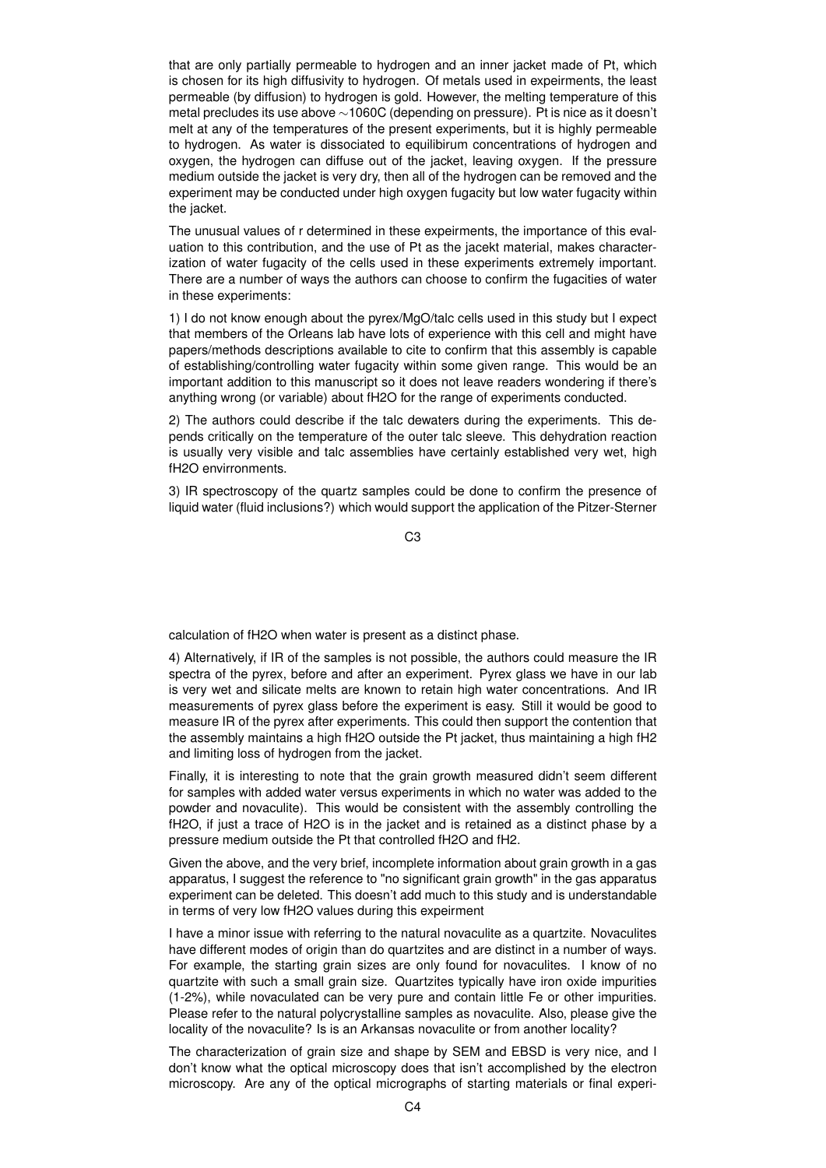that are only partially permeable to hydrogen and an inner jacket made of Pt, which is chosen for its high diffusivity to hydrogen. Of metals used in expeirments, the least permeable (by diffusion) to hydrogen is gold. However, the melting temperature of this metal precludes its use above ∼1060C (depending on pressure). Pt is nice as it doesn't melt at any of the temperatures of the present experiments, but it is highly permeable to hydrogen. As water is dissociated to equilibirum concentrations of hydrogen and oxygen, the hydrogen can diffuse out of the jacket, leaving oxygen. If the pressure medium outside the jacket is very dry, then all of the hydrogen can be removed and the experiment may be conducted under high oxygen fugacity but low water fugacity within the jacket.

The unusual values of r determined in these expeirments, the importance of this evaluation to this contribution, and the use of Pt as the jacekt material, makes characterization of water fugacity of the cells used in these experiments extremely important. There are a number of ways the authors can choose to confirm the fugacities of water in these experiments:

1) I do not know enough about the pyrex/MgO/talc cells used in this study but I expect that members of the Orleans lab have lots of experience with this cell and might have papers/methods descriptions available to cite to confirm that this assembly is capable of establishing/controlling water fugacity within some given range. This would be an important addition to this manuscript so it does not leave readers wondering if there's anything wrong (or variable) about fH2O for the range of experiments conducted.

2) The authors could describe if the talc dewaters during the experiments. This depends critically on the temperature of the outer talc sleeve. This dehydration reaction is usually very visible and talc assemblies have certainly established very wet, high fH2O envirronments.

3) IR spectroscopy of the quartz samples could be done to confirm the presence of liquid water (fluid inclusions?) which would support the application of the Pitzer-Sterner

C3

calculation of fH2O when water is present as a distinct phase.

4) Alternatively, if IR of the samples is not possible, the authors could measure the IR spectra of the pyrex, before and after an experiment. Pyrex glass we have in our lab is very wet and silicate melts are known to retain high water concentrations. And IR measurements of pyrex glass before the experiment is easy. Still it would be good to measure IR of the pyrex after experiments. This could then support the contention that the assembly maintains a high fH2O outside the Pt jacket, thus maintaining a high fH2 and limiting loss of hydrogen from the jacket.

Finally, it is interesting to note that the grain growth measured didn't seem different for samples with added water versus experiments in which no water was added to the powder and novaculite). This would be consistent with the assembly controlling the fH2O, if just a trace of H2O is in the jacket and is retained as a distinct phase by a pressure medium outside the Pt that controlled fH2O and fH2.

Given the above, and the very brief, incomplete information about grain growth in a gas apparatus, I suggest the reference to "no significant grain growth" in the gas apparatus experiment can be deleted. This doesn't add much to this study and is understandable in terms of very low fH2O values during this expeirment

I have a minor issue with referring to the natural novaculite as a quartzite. Novaculites have different modes of origin than do quartzites and are distinct in a number of ways. For example, the starting grain sizes are only found for novaculites. I know of no quartzite with such a small grain size. Quartzites typically have iron oxide impurities (1-2%), while novaculated can be very pure and contain little Fe or other impurities. Please refer to the natural polycrystalline samples as novaculite. Also, please give the locality of the novaculite? Is is an Arkansas novaculite or from another locality?

The characterization of grain size and shape by SEM and EBSD is very nice, and I don't know what the optical microscopy does that isn't accomplished by the electron microscopy. Are any of the optical micrographs of starting materials or final experi